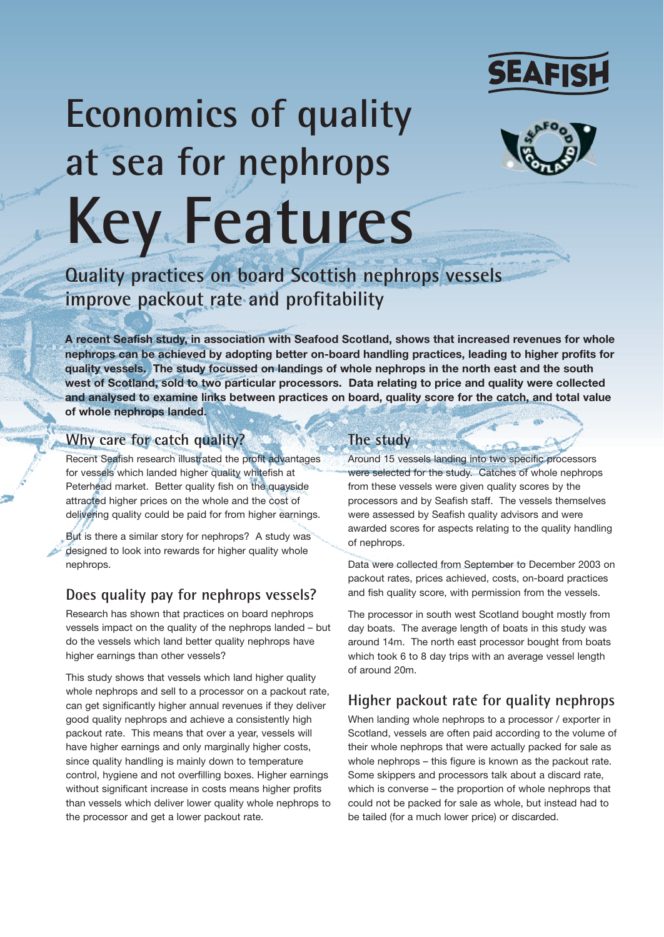

# **Economics of quality at sea for nephrops Key Features**



**Quality practices on board Scottish nephrops vessels improve packout rate and profitability**

**A recent Seafish study, in association with Seafood Scotland, shows that increased revenues for whole nephrops can be achieved by adopting better on-board handling practices, leading to higher profits for quality vessels. The study focussed on landings of whole nephrops in the north east and the south west of Scotland, sold to two particular processors. Data relating to price and quality were collected and analysed to examine links between practices on board, quality score for the catch, and total value of whole nephrops landed.** 

## **Why care for catch quality?**

Recent Seafish research illustrated the profit advantages for vessels which landed higher quality whitefish at Peterhead market. Better quality fish on the quayside attracted higher prices on the whole and the cost of delivering quality could be paid for from higher earnings.

But is there a similar story for nephrops? A study was designed to look into rewards for higher quality whole nephrops.

## **Does quality pay for nephrops vessels?**

Research has shown that practices on board nephrops vessels impact on the quality of the nephrops landed – but do the vessels which land better quality nephrops have higher earnings than other vessels?

This study shows that vessels which land higher quality whole nephrops and sell to a processor on a packout rate, can get significantly higher annual revenues if they deliver good quality nephrops and achieve a consistently high packout rate. This means that over a year, vessels will have higher earnings and only marginally higher costs, since quality handling is mainly down to temperature control, hygiene and not overfilling boxes. Higher earnings without significant increase in costs means higher profits than vessels which deliver lower quality whole nephrops to the processor and get a lower packout rate.

# **The study**

Around 15 vessels landing into two specific processors were selected for the study. Catches of whole nephrops from these vessels were given quality scores by the processors and by Seafish staff. The vessels themselves were assessed by Seafish quality advisors and were awarded scores for aspects relating to the quality handling of nephrops.

Data were collected from September to December 2003 on packout rates, prices achieved, costs, on-board practices and fish quality score, with permission from the vessels.

The processor in south west Scotland bought mostly from day boats. The average length of boats in this study was around 14m. The north east processor bought from boats which took 6 to 8 day trips with an average vessel length of around 20m.

## **Higher packout rate for quality nephrops**

When landing whole nephrops to a processor / exporter in Scotland, vessels are often paid according to the volume of their whole nephrops that were actually packed for sale as whole nephrops – this figure is known as the packout rate. Some skippers and processors talk about a discard rate, which is converse – the proportion of whole nephrops that could not be packed for sale as whole, but instead had to be tailed (for a much lower price) or discarded.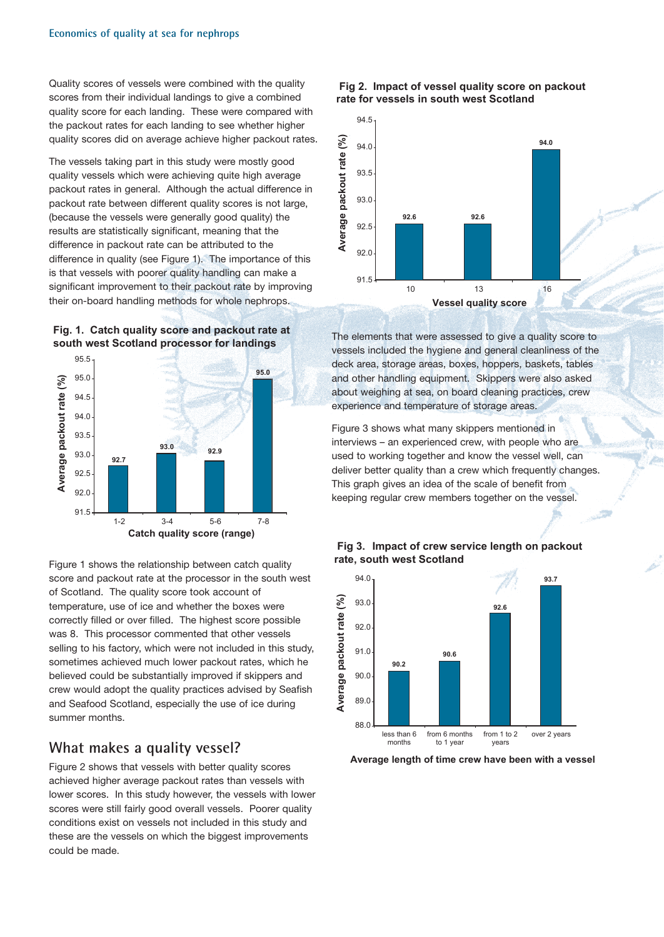Quality scores of vessels were combined with the quality scores from their individual landings to give a combined quality score for each landing. These were compared with the packout rates for each landing to see whether higher quality scores did on average achieve higher packout rates.

The vessels taking part in this study were mostly good quality vessels which were achieving quite high average packout rates in general. Although the actual difference in packout rate between different quality scores is not large, (because the vessels were generally good quality) the results are statistically significant, meaning that the difference in packout rate can be attributed to the difference in quality (see Figure 1). The importance of this is that vessels with poorer quality handling can make a significant improvement to their packout rate by improving their on-board handling methods for whole nephrops.





Figure 1 shows the relationship between catch quality score and packout rate at the processor in the south west of Scotland. The quality score took account of temperature, use of ice and whether the boxes were correctly filled or over filled. The highest score possible was 8. This processor commented that other vessels selling to his factory, which were not included in this study, sometimes achieved much lower packout rates, which he believed could be substantially improved if skippers and crew would adopt the quality practices advised by Seafish and Seafood Scotland, especially the use of ice during summer months.

### **What makes a quality vessel?**

Figure 2 shows that vessels with better quality scores achieved higher average packout rates than vessels with lower scores. In this study however, the vessels with lower scores were still fairly good overall vessels. Poorer quality conditions exist on vessels not included in this study and these are the vessels on which the biggest improvements could be made.

#### **Fig 2. Impact of vessel quality score on packout rate for vessels in south west Scotland**



The elements that were assessed to give a quality score to vessels included the hygiene and general cleanliness of the deck area, storage areas, boxes, hoppers, baskets, tables and other handling equipment. Skippers were also asked about weighing at sea, on board cleaning practices, crew experience and temperature of storage areas.

Figure 3 shows what many skippers mentioned in interviews – an experienced crew, with people who are used to working together and know the vessel well, can deliver better quality than a crew which frequently changes. This graph gives an idea of the scale of benefit from keeping regular crew members together on the vessel.





**Average length of time crew have been with a vessel**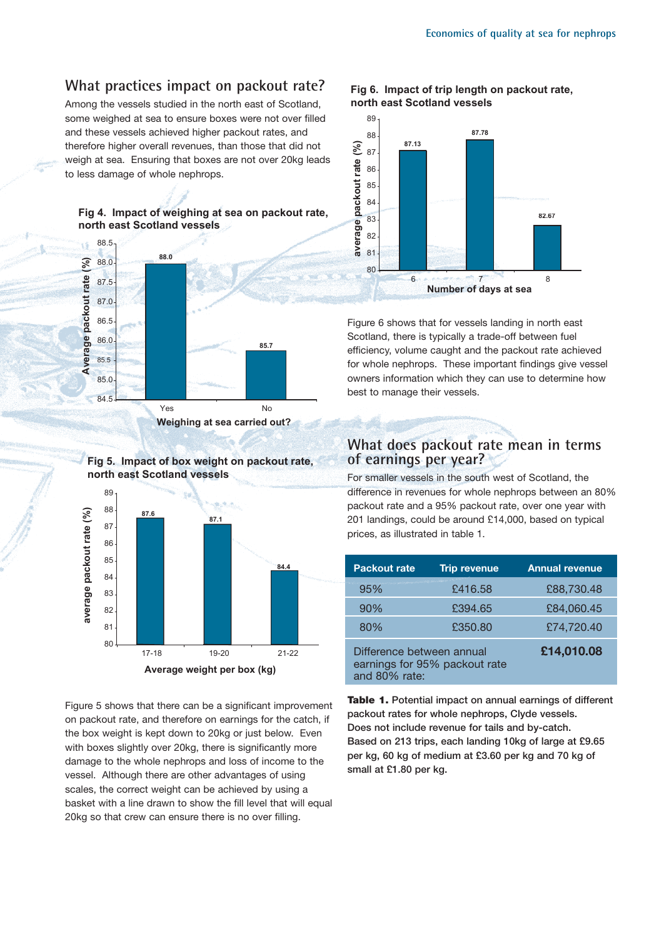## **What practices impact on packout rate?**

Among the vessels studied in the north east of Scotland, some weighed at sea to ensure boxes were not over filled and these vessels achieved higher packout rates, and therefore higher overall revenues, than those that did not weigh at sea. Ensuring that boxes are not over 20kg leads to less damage of whole nephrops.

#### **Fig 4. Impact of weighing at sea on packout rate, north east Scotland vessels**



**Weighing at sea carried out?**



Figure 5 shows that there can be a significant improvement on packout rate, and therefore on earnings for the catch, if the box weight is kept down to 20kg or just below. Even with boxes slightly over 20kg, there is significantly more damage to the whole nephrops and loss of income to the vessel. Although there are other advantages of using scales, the correct weight can be achieved by using a basket with a line drawn to show the fill level that will equal 20kg so that crew can ensure there is no over filling.





Figure 6 shows that for vessels landing in north east Scotland, there is typically a trade-off between fuel efficiency, volume caught and the packout rate achieved for whole nephrops. These important findings give vessel owners information which they can use to determine how best to manage their vessels.

## **What does packout rate mean in terms of earnings per year?**

For smaller vessels in the south west of Scotland, the difference in revenues for whole nephrops between an 80% packout rate and a 95% packout rate, over one year with 201 landings, could be around £14,000, based on typical prices, as illustrated in table 1.

| Packout rate                                                                | <b>Trip revenue</b> | <b>Annual revenue</b> |
|-----------------------------------------------------------------------------|---------------------|-----------------------|
| 95%                                                                         | £416.58             | £88,730.48            |
| 90%                                                                         | £394.65             | £84,060.45            |
| 80%                                                                         | £350.80             | £74,720.40            |
| Difference between annual<br>earnings for 95% packout rate<br>and 80% rate: |                     | £14,010.08            |

**Table 1. Potential impact on annual earnings of different packout rates for whole nephrops, Clyde vessels. Does not include revenue for tails and by-catch. Based on 213 trips, each landing 10kg of large at £9.65 per kg, 60 kg of medium at £3.60 per kg and 70 kg of small at £1.80 per kg.**